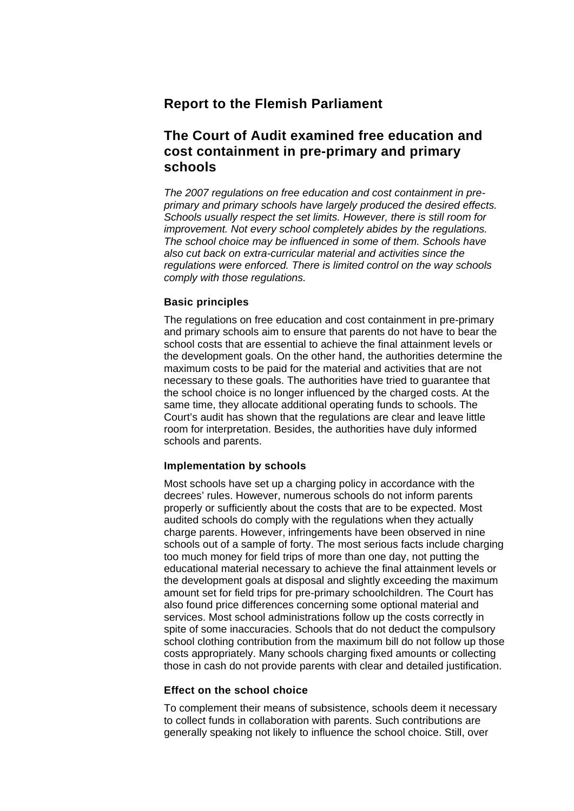## **Report to the Flemish Parliament**

# **The Court of Audit examined free education and cost containment in pre-primary and primary schools**

*The 2007 regulations on free education and cost containment in preprimary and primary schools have largely produced the desired effects. Schools usually respect the set limits. However, there is still room for improvement. Not every school completely abides by the regulations. The school choice may be influenced in some of them. Schools have also cut back on extra-curricular material and activities since the regulations were enforced. There is limited control on the way schools comply with those regulations.* 

## **Basic principles**

The regulations on free education and cost containment in pre-primary and primary schools aim to ensure that parents do not have to bear the school costs that are essential to achieve the final attainment levels or the development goals. On the other hand, the authorities determine the maximum costs to be paid for the material and activities that are not necessary to these goals. The authorities have tried to guarantee that the school choice is no longer influenced by the charged costs. At the same time, they allocate additional operating funds to schools. The Court's audit has shown that the regulations are clear and leave little room for interpretation. Besides, the authorities have duly informed schools and parents.

## **Implementation by schools**

Most schools have set up a charging policy in accordance with the decrees' rules. However, numerous schools do not inform parents properly or sufficiently about the costs that are to be expected. Most audited schools do comply with the regulations when they actually charge parents. However, infringements have been observed in nine schools out of a sample of forty. The most serious facts include charging too much money for field trips of more than one day, not putting the educational material necessary to achieve the final attainment levels or the development goals at disposal and slightly exceeding the maximum amount set for field trips for pre-primary schoolchildren. The Court has also found price differences concerning some optional material and services. Most school administrations follow up the costs correctly in spite of some inaccuracies. Schools that do not deduct the compulsory school clothing contribution from the maximum bill do not follow up those costs appropriately. Many schools charging fixed amounts or collecting those in cash do not provide parents with clear and detailed justification.

## **Effect on the school choice**

To complement their means of subsistence, schools deem it necessary to collect funds in collaboration with parents. Such contributions are generally speaking not likely to influence the school choice. Still, over